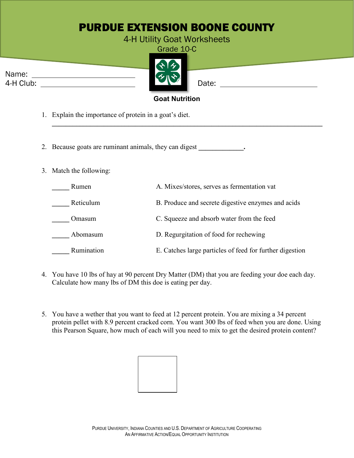## PURDUE EXTENSION BOONE COUNTY

## 4-H Utility Goat Worksheets

Grade 10-C



## **Goat Nutrition**

**\_\_\_\_\_\_\_\_\_\_\_\_\_\_\_\_\_\_\_\_\_\_\_\_\_\_\_\_\_\_\_\_\_\_\_\_\_\_\_\_\_\_\_\_\_\_\_\_\_\_\_\_\_\_\_\_\_\_\_\_\_\_\_\_\_\_\_\_\_\_\_\_\_\_\_\_\_\_**

1. Explain the importance of protein in a goat's diet.

2. Because goats are ruminant animals, they can digest **\_\_\_\_\_\_\_\_\_\_\_\_\_.**

3. Match the following:

| <b>Rumen</b> | A. Mixes/stores, serves as fermentation vat              |
|--------------|----------------------------------------------------------|
| Reticulum    | B. Produce and secrete digestive enzymes and acids       |
| Omasum       | C. Squeeze and absorb water from the feed                |
| Abomasum     | D. Regurgitation of food for rechewing                   |
| Rumination   | E. Catches large particles of feed for further digestion |

- 4. You have 10 lbs of hay at 90 percent Dry Matter (DM) that you are feeding your doe each day. Calculate how many lbs of DM this doe is eating per day.
- 5. You have a wether that you want to feed at 12 percent protein. You are mixing a 34 percent protein pellet with 8.9 percent cracked corn. You want 300 lbs of feed when you are done. Using this Pearson Square, how much of each will you need to mix to get the desired protein content?



| Name: |           |
|-------|-----------|
|       | 4-H Club: |